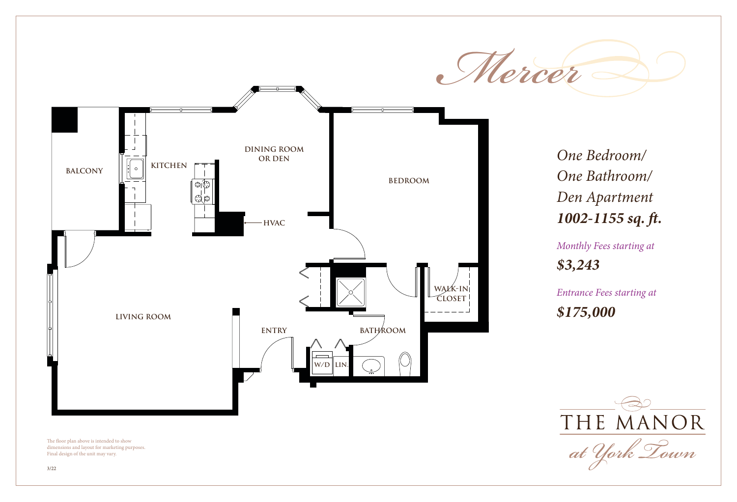

*One Bedroom/ One Bathroom/ Den Apartment 1002-1155 sq. ft.*

*Monthly Fees starting at \$3,243*

*Entrance Fees starting at \$175,000*



The floor plan above is intended to show dimensions and layout for marketing purposes. Final design of the unit may vary.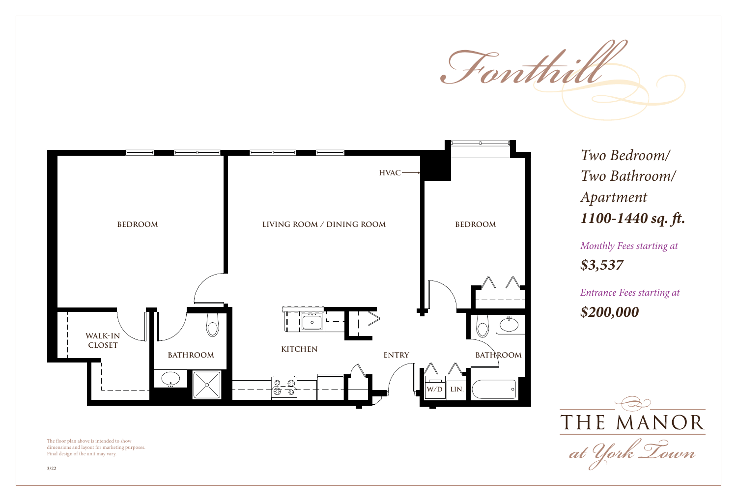



The floor plan above is intended to show dimensions and layout for marketing purposes. Final design of the unit may vary.

*Two Bedroom/ Two Bathroom/ Apartment 1100-1440 sq. ft.*

*Monthly Fees starting at \$3,537*

*Entrance Fees starting at \$200,000*

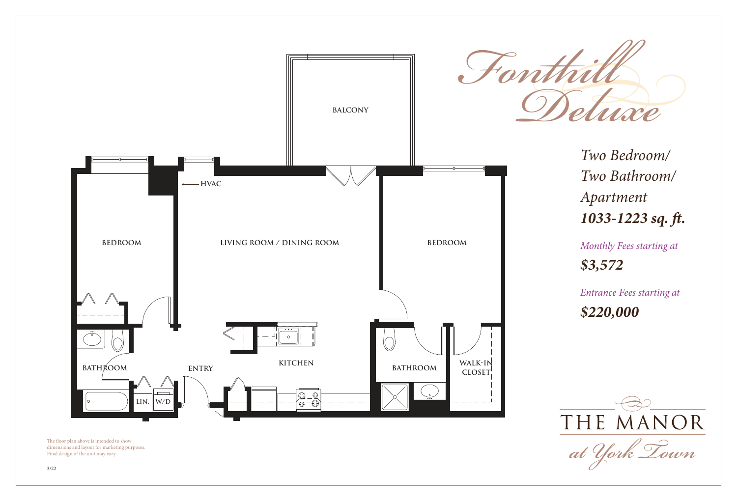

The floor plan above is intended to show dimensions and layout for marketing purposes. Final design of the unit may vary.